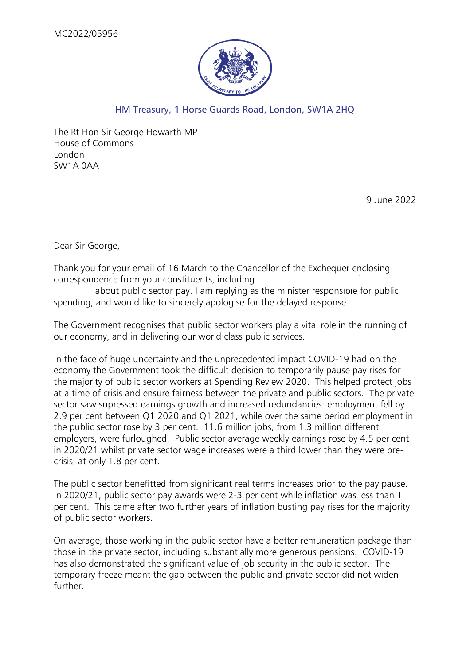

## HM Treasury, 1 Horse Guards Road, London, SW1A 2HQ

The Rt Hon Sir George Howarth MP House of Commons London SW1A 0AA

9 June 2022

Dear Sir George,

Thank you for your email of 16 March to the Chancellor of the Exchequer enclosing correspondence from your constituents, including

about public sector pay. I am replying as the minister responsible for public spending, and would like to sincerely apologise for the delayed response.

The Government recognises that public sector workers play a vital role in the running of our economy, and in delivering our world class public services.

In the face of huge uncertainty and the unprecedented impact COVID-19 had on the economy the Government took the difficult decision to temporarily pause pay rises for the majority of public sector workers at Spending Review 2020. This helped protect jobs at a time of crisis and ensure fairness between the private and public sectors. The private sector saw supressed earnings growth and increased redundancies: employment fell by 2.9 per cent between Q1 2020 and Q1 2021, while over the same period employment in the public sector rose by 3 per cent. 11.6 million jobs, from 1.3 million different employers, were furloughed. Public sector average weekly earnings rose by 4.5 per cent in 2020/21 whilst private sector wage increases were a third lower than they were precrisis, at only 1.8 per cent.

The public sector benefitted from significant real terms increases prior to the pay pause. In 2020/21, public sector pay awards were 2-3 per cent while inflation was less than 1 per cent. This came after two further years of inflation busting pay rises for the majority of public sector workers.

On average, those working in the public sector have a better remuneration package than those in the private sector, including substantially more generous pensions. COVID-19 has also demonstrated the significant value of job security in the public sector. The temporary freeze meant the gap between the public and private sector did not widen further.